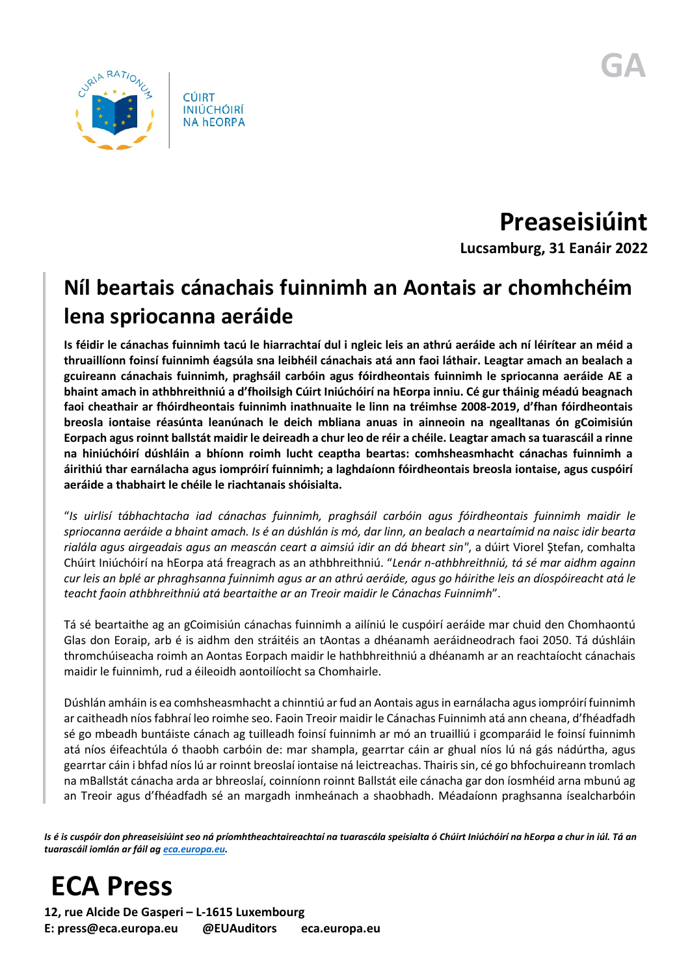

**Preaseisiúint**

**Lucsamburg, 31 Eanáir 2022**

## **Níl beartais cánachais fuinnimh an Aontais ar chomhchéim lena spriocanna aeráide**

**Is féidir le cánachas fuinnimh tacú le hiarrachtaí dul i ngleic leis an athrú aeráide ach ní léirítear an méid a thruaillíonn foinsí fuinnimh éagsúla sna leibhéil cánachais atá ann faoi láthair. Leagtar amach an bealach a gcuireann cánachais fuinnimh, praghsáil carbóin agus fóirdheontais fuinnimh le spriocanna aeráide AE a bhaint amach in athbhreithniú a d'fhoilsigh Cúirt Iniúchóirí na hEorpa inniu. Cé gur tháinig méadú beagnach faoi cheathair ar fhóirdheontais fuinnimh inathnuaite le linn na tréimhse 2008-2019, d'fhan fóirdheontais breosla iontaise réasúnta leanúnach le deich mbliana anuas in ainneoin na ngealltanas ón gCoimisiún Eorpach agus roinnt ballstát maidir le deireadh a chur leo de réir a chéile. Leagtar amach sa tuarascáil a rinne na hiniúchóirí dúshláin a bhíonn roimh lucht ceaptha beartas: comhsheasmhacht cánachas fuinnimh a áirithiú thar earnálacha agus iompróirí fuinnimh; a laghdaíonn fóirdheontais breosla iontaise, agus cuspóirí aeráide a thabhairt le chéile le riachtanais shóisialta.** 

"*Is uirlisí tábhachtacha iad cánachas fuinnimh, praghsáil carbóin agus fóirdheontais fuinnimh maidir le spriocanna aeráide a bhaint amach. Is é an dúshlán is mó, dar linn, an bealach a neartaímid na naisc idir bearta rialála agus airgeadais agus an meascán ceart a aimsiú idir an dá bheart sin"*, a dúirt Viorel Ştefan, comhalta Chúirt Iniúchóirí na hEorpa atá freagrach as an athbhreithniú. "*Lenár n-athbhreithniú, tá sé mar aidhm againn cur leis an bplé ar phraghsanna fuinnimh agus ar an athrú aeráide, agus go háirithe leis an díospóireacht atá le teacht faoin athbhreithniú atá beartaithe ar an Treoir maidir le Cánachas Fuinnimh*".

Tá sé beartaithe ag an gCoimisiún cánachas fuinnimh a ailíniú le cuspóirí aeráide mar chuid den Chomhaontú Glas don Eoraip, arb é is aidhm den stráitéis an tAontas a dhéanamh aeráidneodrach faoi 2050. Tá dúshláin thromchúiseacha roimh an Aontas Eorpach maidir le hathbhreithniú a dhéanamh ar an reachtaíocht cánachais maidir le fuinnimh, rud a éileoidh aontoilíocht sa Chomhairle.

Dúshlán amháin is ea comhsheasmhacht a chinntiú ar fud an Aontais agus in earnálacha agus iompróirí fuinnimh ar caitheadh níos fabhraí leo roimhe seo. Faoin Treoir maidir le Cánachas Fuinnimh atá ann cheana, d'fhéadfadh sé go mbeadh buntáiste cánach ag tuilleadh foinsí fuinnimh ar mó an truailliú i gcomparáid le foinsí fuinnimh atá níos éifeachtúla ó thaobh carbóin de: mar shampla, gearrtar cáin ar ghual níos lú ná gás nádúrtha, agus gearrtar cáin i bhfad níos lú ar roinnt breoslaí iontaise ná leictreachas. Thairis sin, cé go bhfochuireann tromlach na mBallstát cánacha arda ar bhreoslaí, coinníonn roinnt Ballstát eile cánacha gar don íosmhéid arna mbunú ag an Treoir agus d'fhéadfadh sé an margadh inmheánach a shaobhadh. Méadaíonn praghsanna ísealcharbóin

*Is é is cuspóir don phreaseisiúint seo ná príomhtheachtaireachtaí na tuarascála speisialta ó Chúirt Iniúchóirí na hEorpa a chur in iúl. Tá an tuarascáil iomlán ar fáil a[g eca.europa.eu.](https://www.eca.europa.eu/)*

## **ECA Press**

**12, rue Alcide De Gasperi – L-1615 Luxembourg E: press@eca.europa.eu @EUAuditors eca.europa.eu**